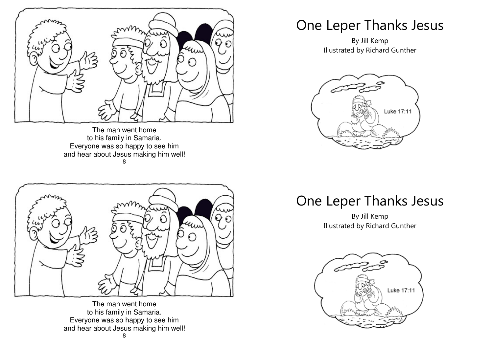

The man went home to his family in Samaria. Everyone was so happy to see him and hear about Jesus making him well! 8



The man went home to his family in Samaria. Everyone was so happy to see him and hear about Jesus making him well!

## One Leper Thanks Jesus

By Jill Kemp Illustrated by Richard Gunther



One Leper Thanks Jesus

By Jill Kemp Illustrated by Richard Gunther

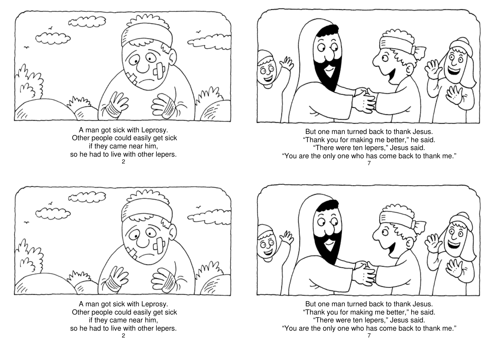

A man got sick with Leprosy. Other people could easily get sick if they came near him, so he had to live with other lepers. 2



But one man turned back to thank Jesus. "Thank you for making me better," he said. "There were ten lepers," Jesus said. "You are the only one who has come back to thank me." 7



A man got sick with Leprosy. Other people could easily get sick if they came near him, so he had to live with other lepers.



But one man turned back to thank Jesus. "Thank you for making me better," he said. "There were ten lepers," Jesus said. "You are the only one who has come back to thank me."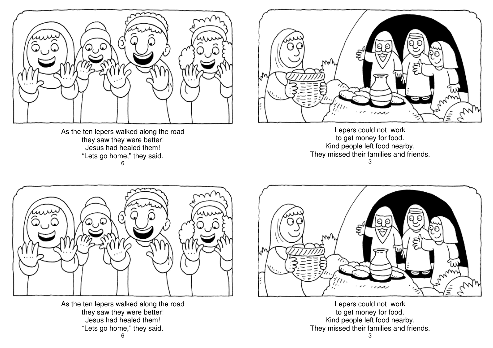

As the ten lepers walked along the road they saw they were better! Jesus had healed them! "Lets go home," they said. 6



Lepers could not work to get money for food. Kind people left food nearby. They missed their families and friends. 3



As the ten lepers walked along the road they saw they were better! Jesus had healed them! "Lets go home," they said. 6



Lepers could not work to get money for food. Kind people left food nearby. They missed their families and friends. 3